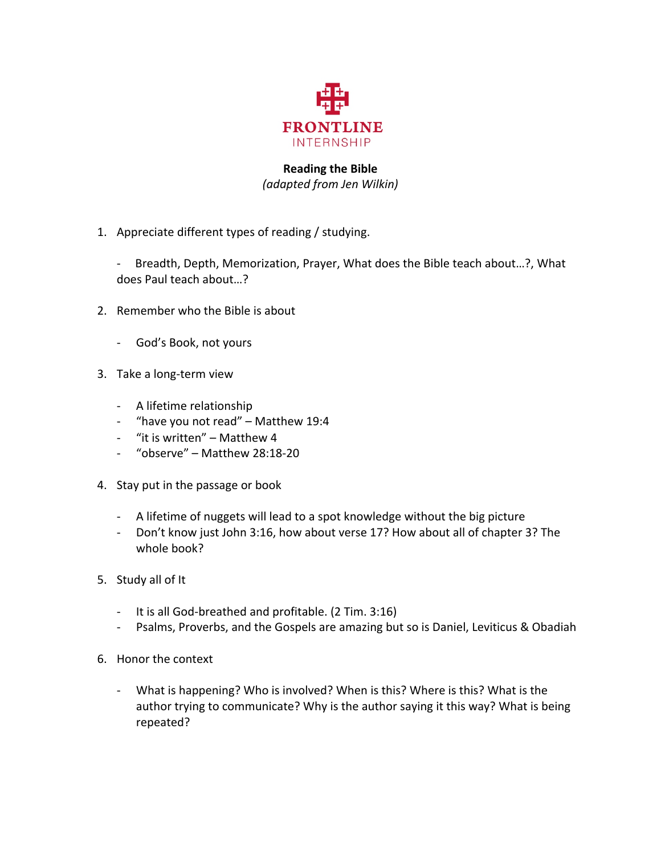

## **Reading the Bible** *(adapted from Jen Wilkin)*

- 1. Appreciate different types of reading / studying.
	- Breadth, Depth, Memorization, Prayer, What does the Bible teach about...?, What does Paul teach about...?
- 2. Remember who the Bible is about
	- God's Book, not yours
- 3. Take a long-term view
	- A lifetime relationship
	- "have you not read" Matthew 19:4
	- "it is written" Matthew  $4$
	- $-$  "observe" Matthew 28:18-20
- 4. Stay put in the passage or book
	- A lifetime of nuggets will lead to a spot knowledge without the big picture
	- Don't know just John 3:16, how about verse 17? How about all of chapter 3? The whole  $\text{book?}$
- 5. Study all of It
	- It is all God-breathed and profitable. (2 Tim. 3:16)
	- Psalms, Proverbs, and the Gospels are amazing but so is Daniel, Leviticus & Obadiah
- 6. Honor the context
	- What is happening? Who is involved? When is this? Where is this? What is the author trying to communicate? Why is the author saying it this way? What is being repeated?